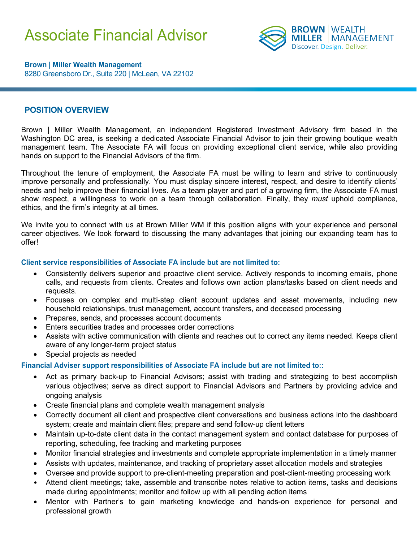# Associate Financial Advisor



**Brown | Miller Wealth Management** 8280 Greensboro Dr., Suite 220 | McLean, VA 22102

### **POSITION OVERVIEW**

Brown | Miller Wealth Management, an independent Registered Investment Advisory firm based in the Washington DC area, is seeking a dedicated Associate Financial Advisor to join their growing boutique wealth management team. The Associate FA will focus on providing exceptional client service, while also providing hands on support to the Financial Advisors of the firm.

Throughout the tenure of employment, the Associate FA must be willing to learn and strive to continuously improve personally and professionally. You must display sincere interest, respect, and desire to identify clients' needs and help improve their financial lives. As a team player and part of a growing firm, the Associate FA must show respect, a willingness to work on a team through collaboration. Finally, they *must* uphold compliance, ethics, and the firm's integrity at all times.

We invite you to connect with us at Brown Miller WM if this position aligns with your experience and personal career objectives. We look forward to discussing the many advantages that joining our expanding team has to offer!

#### **Client service responsibilities of Associate FA include but are not limited to:**

- Consistently delivers superior and proactive client service. Actively responds to incoming emails, phone calls, and requests from clients. Creates and follows own action plans/tasks based on client needs and requests.
- Focuses on complex and multi-step client account updates and asset movements, including new household relationships, trust management, account transfers, and deceased processing
- Prepares, sends, and processes account documents
- Enters securities trades and processes order corrections
- Assists with active communication with clients and reaches out to correct any items needed. Keeps client aware of any longer-term project status
- Special projects as needed

#### **Financial Adviser support responsibilities of Associate FA include but are not limited to::**

- Act as primary back-up to Financial Advisors; assist with trading and strategizing to best accomplish various objectives; serve as direct support to Financial Advisors and Partners by providing advice and ongoing analysis
- Create financial plans and complete wealth management analysis
- Correctly document all client and prospective client conversations and business actions into the dashboard system; create and maintain client files; prepare and send follow-up client letters
- Maintain up-to-date client data in the contact management system and contact database for purposes of reporting, scheduling, fee tracking and marketing purposes
- Monitor financial strategies and investments and complete appropriate implementation in a timely manner
- Assists with updates, maintenance, and tracking of proprietary asset allocation models and strategies
- Oversee and provide support to pre-client-meeting preparation and post-client-meeting processing work
- Attend client meetings; take, assemble and transcribe notes relative to action items, tasks and decisions made during appointments; monitor and follow up with all pending action items
- Mentor with Partner's to gain marketing knowledge and hands-on experience for personal and professional growth